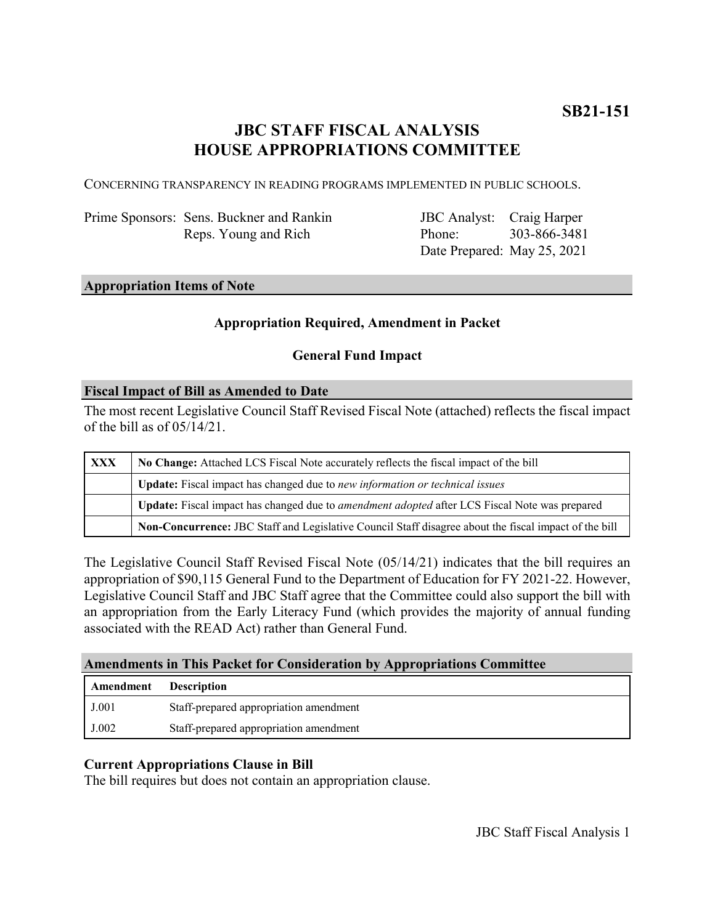# **JBC STAFF FISCAL ANALYSIS HOUSE APPROPRIATIONS COMMITTEE**

CONCERNING TRANSPARENCY IN READING PROGRAMS IMPLEMENTED IN PUBLIC SCHOOLS.

Prime Sponsors: Sens. Buckner and Rankin Reps. Young and Rich

JBC Analyst: Craig Harper Phone: Date Prepared: May 25, 2021 303-866-3481

#### **Appropriation Items of Note**

#### **Appropriation Required, Amendment in Packet**

#### **General Fund Impact**

#### **Fiscal Impact of Bill as Amended to Date**

The most recent Legislative Council Staff Revised Fiscal Note (attached) reflects the fiscal impact of the bill as of 05/14/21.

| <b>XXX</b> | No Change: Attached LCS Fiscal Note accurately reflects the fiscal impact of the bill                 |
|------------|-------------------------------------------------------------------------------------------------------|
|            | Update: Fiscal impact has changed due to new information or technical issues                          |
|            | Update: Fiscal impact has changed due to <i>amendment adopted</i> after LCS Fiscal Note was prepared  |
|            | Non-Concurrence: JBC Staff and Legislative Council Staff disagree about the fiscal impact of the bill |

The Legislative Council Staff Revised Fiscal Note (05/14/21) indicates that the bill requires an appropriation of \$90,115 General Fund to the Department of Education for FY 2021-22. However, Legislative Council Staff and JBC Staff agree that the Committee could also support the bill with an appropriation from the Early Literacy Fund (which provides the majority of annual funding associated with the READ Act) rather than General Fund.

#### **Amendments in This Packet for Consideration by Appropriations Committee**

| <b>Amendment</b> Description |                                        |
|------------------------------|----------------------------------------|
| J.001                        | Staff-prepared appropriation amendment |
| J.002                        | Staff-prepared appropriation amendment |

### **Current Appropriations Clause in Bill**

The bill requires but does not contain an appropriation clause.